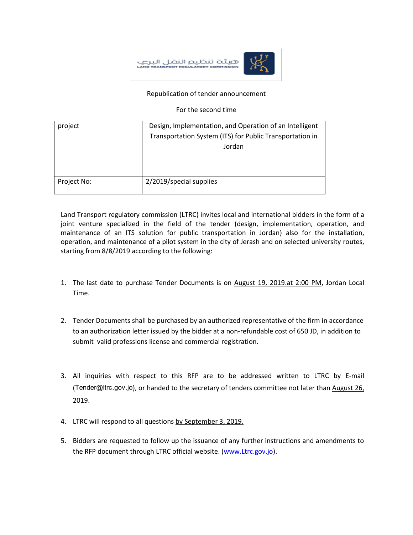هيئة تنظيم النقل البرع



## Republication of tender announcement

For the second time

| project     | Design, Implementation, and Operation of an Intelligent  |
|-------------|----------------------------------------------------------|
|             | Transportation System (ITS) for Public Transportation in |
|             | Jordan                                                   |
|             |                                                          |
|             |                                                          |
|             |                                                          |
| Project No: | 2/2019/special supplies                                  |
|             |                                                          |

Land Transport regulatory commission (LTRC) invites local and international bidders in the form of a joint venture specialized in the field of the tender (design, implementation, operation, and maintenance of an ITS solution for public transportation in Jordan) also for the installation, operation, and maintenance of a pilot system in the city of Jerash and on selected university routes, starting from 8/8/2019 according to the following:

- 1. The last date to purchase Tender Documents is on August 19, 2019.at 2:00 PM, Jordan Local Time.
- 2. Tender Documents shall be purchased by an authorized representative of the firm in accordance to an authorization letter issued by the bidder at a non-refundable cost of 650 JD, in addition to submit valid professions license and commercial registration.
- 3. All inquiries with respect to this RFP are to be addressed written to LTRC by E-mail (Tender@ltrc.gov.jo), or handed to the secretary of tenders committee not later than August 26, 2019.
- 4. LTRC will respond to all questions by September 3, 2019.
- 5. Bidders are requested to follow up the issuance of any further instructions and amendments to the RFP document through LTRC official website. [\(www.Ltrc.gov.jo\)](http://www.ltrc.gov.jo/).